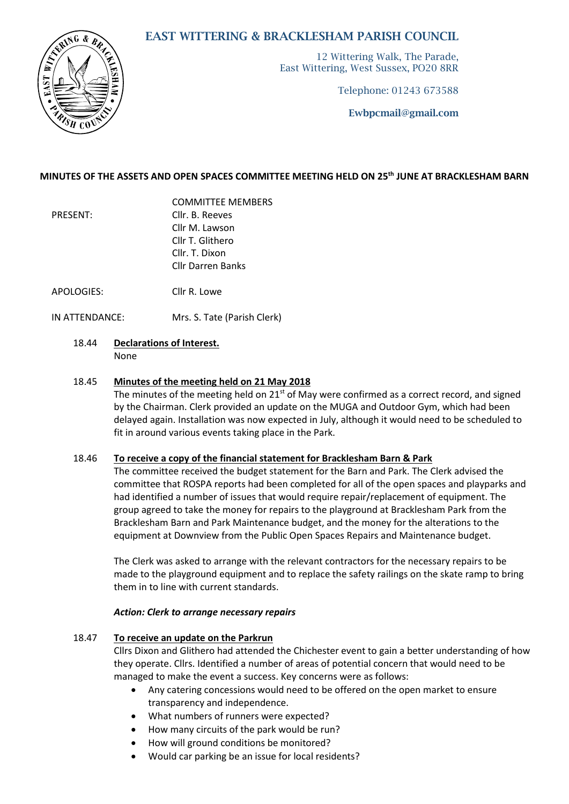# EAST WITTERING & BRACKLESHAM PARISH COUNCIL



12 Wittering Walk, The Parade, East Wittering, West Sussex, PO20 8RR

Telephone: 01243 673588

Ewbpcmail@gmail.com

# **MINUTES OF THE ASSETS AND OPEN SPACES COMMITTEE MEETING HELD ON 25th JUNE AT BRACKLESHAM BARN**

COMMITTEE MEMBERS PRESENT: Cllr. B. Reeves Cllr M. Lawson Cllr T. Glithero Cllr. T. Dixon Cllr Darren Banks

- APOLOGIES: Cllr R. Lowe
- IN ATTENDANCE: Mrs. S. Tate (Parish Clerk)
	- 18.44 **Declarations of Interest.**  None

#### 18.45 **Minutes of the meeting held on 21 May 2018**

The minutes of the meeting held on  $21^{st}$  of May were confirmed as a correct record, and signed by the Chairman. Clerk provided an update on the MUGA and Outdoor Gym, which had been delayed again. Installation was now expected in July, although it would need to be scheduled to fit in around various events taking place in the Park.

#### 18.46 **To receive a copy of the financial statement for Bracklesham Barn & Park**

The committee received the budget statement for the Barn and Park. The Clerk advised the committee that ROSPA reports had been completed for all of the open spaces and playparks and had identified a number of issues that would require repair/replacement of equipment. The group agreed to take the money for repairs to the playground at Bracklesham Park from the Bracklesham Barn and Park Maintenance budget, and the money for the alterations to the equipment at Downview from the Public Open Spaces Repairs and Maintenance budget.

The Clerk was asked to arrange with the relevant contractors for the necessary repairs to be made to the playground equipment and to replace the safety railings on the skate ramp to bring them in to line with current standards.

#### *Action: Clerk to arrange necessary repairs*

#### 18.47 **To receive an update on the Parkrun**

Cllrs Dixon and Glithero had attended the Chichester event to gain a better understanding of how they operate. Cllrs. Identified a number of areas of potential concern that would need to be managed to make the event a success. Key concerns were as follows:

- Any catering concessions would need to be offered on the open market to ensure transparency and independence.
- What numbers of runners were expected?
- How many circuits of the park would be run?
- How will ground conditions be monitored?
- Would car parking be an issue for local residents?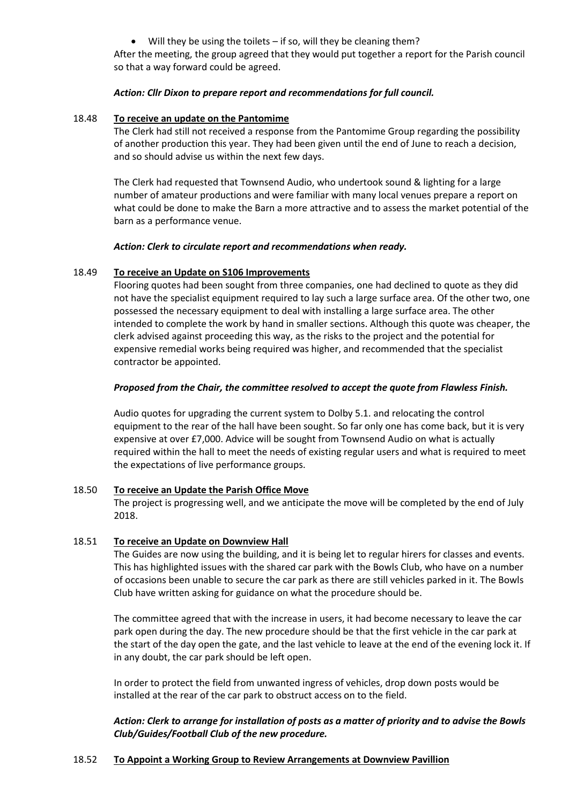Will they be using the toilets – if so, will they be cleaning them?

After the meeting, the group agreed that they would put together a report for the Parish council so that a way forward could be agreed.

### *Action: Cllr Dixon to prepare report and recommendations for full council.*

### 18.48 **To receive an update on the Pantomime**

The Clerk had still not received a response from the Pantomime Group regarding the possibility of another production this year. They had been given until the end of June to reach a decision, and so should advise us within the next few days.

The Clerk had requested that Townsend Audio, who undertook sound & lighting for a large number of amateur productions and were familiar with many local venues prepare a report on what could be done to make the Barn a more attractive and to assess the market potential of the barn as a performance venue.

# *Action: Clerk to circulate report and recommendations when ready.*

# 18.49 **To receive an Update on S106 Improvements**

Flooring quotes had been sought from three companies, one had declined to quote as they did not have the specialist equipment required to lay such a large surface area. Of the other two, one possessed the necessary equipment to deal with installing a large surface area. The other intended to complete the work by hand in smaller sections. Although this quote was cheaper, the clerk advised against proceeding this way, as the risks to the project and the potential for expensive remedial works being required was higher, and recommended that the specialist contractor be appointed.

# *Proposed from the Chair, the committee resolved to accept the quote from Flawless Finish.*

Audio quotes for upgrading the current system to Dolby 5.1. and relocating the control equipment to the rear of the hall have been sought. So far only one has come back, but it is very expensive at over £7,000. Advice will be sought from Townsend Audio on what is actually required within the hall to meet the needs of existing regular users and what is required to meet the expectations of live performance groups.

#### 18.50 **To receive an Update the Parish Office Move**

The project is progressing well, and we anticipate the move will be completed by the end of July 2018.

# 18.51 **To receive an Update on Downview Hall**

The Guides are now using the building, and it is being let to regular hirers for classes and events. This has highlighted issues with the shared car park with the Bowls Club, who have on a number of occasions been unable to secure the car park as there are still vehicles parked in it. The Bowls Club have written asking for guidance on what the procedure should be.

The committee agreed that with the increase in users, it had become necessary to leave the car park open during the day. The new procedure should be that the first vehicle in the car park at the start of the day open the gate, and the last vehicle to leave at the end of the evening lock it. If in any doubt, the car park should be left open.

In order to protect the field from unwanted ingress of vehicles, drop down posts would be installed at the rear of the car park to obstruct access on to the field.

# *Action: Clerk to arrange for installation of posts as a matter of priority and to advise the Bowls Club/Guides/Football Club of the new procedure.*

#### 18.52 **To Appoint a Working Group to Review Arrangements at Downview Pavillion**